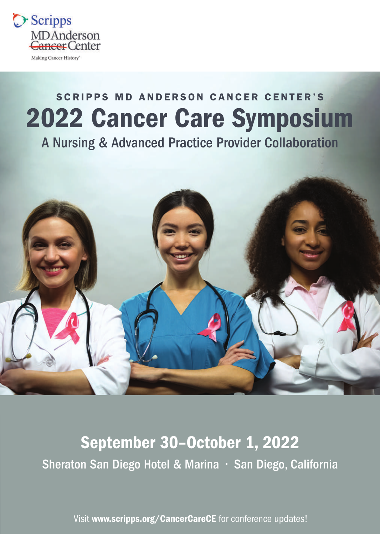

# SCRIPPS MD ANDERSON CANCER CENTER'S 2022 Cancer Care Symposium

A Nursing & Advanced Practice Provider Collaboration



# September 30–October 1, 2022 Sheraton San Diego Hotel & Marina • San Diego, California

Visit [www.scripps.org/CancerCare](http://www.scripps.org/cancercarece)CE for conference updates!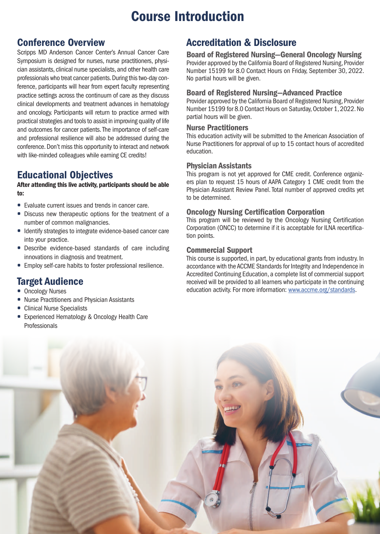## Course Introduction

## Conference Overview

Scripps MD Anderson Cancer Center's Annual Cancer Care Symposium is designed for nurses, nurse practitioners, physician assistants, clinical nurse specialists, and other health care professionals who treat cancer patients. During this two-day conference, participants will hear from expert faculty representing practice settings across the continuum of care as they discuss clinical developments and treatment advances in hematology and oncology. Participants will return to practice armed with practical strategies and tools to assist in improving quality of life and outcomes for cancer patients. The importance of self-care and professional resilience will also be addressed during the conference. Don't miss this opportunity to interact and network with like-minded colleagues while earning CE credits!

## Educational Objectives

#### After attending this live activity, participants should be able to:

- Evaluate current issues and trends in cancer care.
- Discuss new therapeutic options for the treatment of a number of common malignancies.
- Identify strategies to integrate evidence-based cancer care into your practice.
- Describe evidence-based standards of care including innovations in diagnosis and treatment.
- Employ self-care habits to foster professional resilience.

## Target Audience

- Oncology Nurses
- Nurse Practitioners and Physician Assistants
- Clinical Nurse Specialists
- Experienced Hematology & Oncology Health Care Professionals

## Accreditation & Disclosure

Board of Registered Nursing—General Oncology Nursing Provider approved by the California Board of Registered Nursing, Provider Number 15199 for 8.0 Contact Hours on Friday, September 30, 2022. No partial hours will be given.

#### Board of Registered Nursing—Advanced Practice

Provider approved by the California Board of Registered Nursing, Provider Number 15199 for 8.0 Contact Hours on Saturday, October 1, 2022. No partial hours will be given.

#### Nurse Practitioners

This education activity will be submitted to the American Association of Nurse Practitioners for approval of up to 15 contact hours of accredited education.

#### Physician Assistants

This program is not yet approved for CME credit. Conference organizers plan to request 15 hours of AAPA Category 1 CME credit from the Physician Assistant Review Panel. Total number of approved credits yet to be determined.

#### Oncology Nursing Certification Corporation

This program will be reviewed by the Oncology Nursing Certification Corporation (ONCC) to determine if it is acceptable for ILNA recertification points.

#### Commercial Support

This course is supported, in part, by educational grants from industry. In accordance with the ACCME Standards for Integrity and Independence in Accredited Continuing Education, a complete list of commercial support received will be provided to all learners who participate in the continuing education activity. For more information: <www.accme.org/standards>.

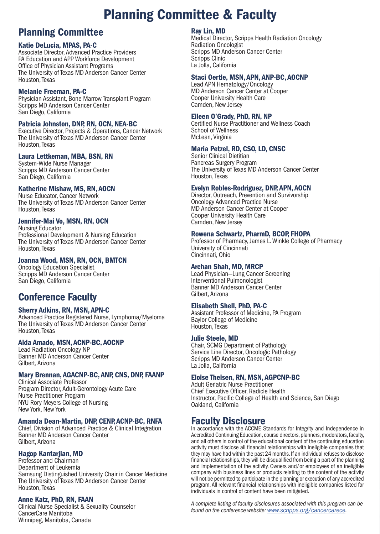## Planning Committee & Faculty

## Planning Committee

#### Katie DeLucia, MPAS, PA-C

Associate Director, Advanced Practice Providers PA Education and APP Workforce Development Office of Physician Assistant Programs The University of Texas MD Anderson Cancer Center Houston, Texas

#### Melanie Freeman, PA-C

Physician Assistant, Bone Marrow Transplant Program Scripps MD Anderson Cancer Center San Diego, California

#### Patricia Johnston, DNP, RN, OCN, NEA-BC

Executive Director, Projects & Operations, Cancer Network The University of Texas MD Anderson Cancer Center Houston, Texas

#### Laura Lettkeman, MBA, BSN, RN

System-Wide Nurse Manager Scripps MD Anderson Cancer Center San Diego, California

#### Katherine Mishaw, MS, RN, AOCN

Nurse Educator, Cancer Network The University of Texas MD Anderson Cancer Center Houston, Texas

#### Jennifer-Mai Vo, MSN, RN, OCN

Nursing Educator Professional Development & Nursing Education The University of Texas MD Anderson Cancer Center Houston, Texas

#### Joanna Wood, MSN, RN, OCN, BMTCN

Oncology Education Specialist Scripps MD Anderson Cancer Center San Diego, California

## Conference Faculty

#### Sherry Adkins, RN, MSN, APN-C

Advanced Practice Registered Nurse, Lymphoma/Myeloma The University of Texas MD Anderson Cancer Center Houston, Texas

#### Aida Amado, MSN, ACNP-BC, AOCNP

Lead Radiation Oncology NP Banner MD Anderson Cancer Center Gilbert, Arizona

#### Mary Brennan, AGACNP-BC, ANP, CNS, DNP, FAANP

Clinical Associate Professor Program Director, Adult-Gerontology Acute Care Nurse Practitioner Program NYU Rory Meyers College of Nursing New York, New York

#### Amanda Dean-Martin, DNP, CENP, ACNP-BC, RNFA

Chief, Division of Advanced Practice & Clinical Integration Banner MD Anderson Cancer Center Gilbert, Arizona

#### Hagop Kantarjian, MD

Professor and Chairman Department of Leukemia Samsung Distinguished University Chair in Cancer Medicine The University of Texas MD Anderson Cancer Center Houston, Texas

#### Anne Katz, PhD, RN, FAAN

Clinical Nurse Specialist & Sexuality Counselor CancerCare Manitoba Winnipeg, Manitoba, Canada

#### Ray Lin, MD

Medical Director, Scripps Health Radiation Oncology Radiation Oncologist Scripps MD Anderson Cancer Center Scripps Clinic La Jolla, California

#### Staci Oertle, MSN, APN, ANP-BC, AOCNP

Lead APN Hematology/Oncology MD Anderson Cancer Center at Cooper Cooper University Health Care Camden, New Jersey

#### Eileen O'Grady, PhD, RN, NP

Certified Nurse Practitioner and Wellness Coach School of Wellness McLean, Virginia

#### Maria Petzel, RD, CSO, LD, CNSC

Senior Clinical Dietitian Pancreas Surgery Program The University of Texas MD Anderson Cancer Center Houston, Texas

#### Evelyn Robles-Rodriguez, DNP, APN, AOCN

Director, Outreach, Prevention and Survivorship Oncology Advanced Practice Nurse MD Anderson Cancer Center at Cooper Cooper University Health Care Camden, New Jersey

#### Rowena Schwartz, PharmD, BCOP, FHOPA

Professor of Pharmacy, James L. Winkle College of Pharmacy University of Cincinnati Cincinnati, Ohio

#### Archan Shah, MD, MRCP

Lead Physician—Lung Cancer Screening Interventional Pulmonologist Banner MD Anderson Cancer Center Gilbert, Arizona

#### Elisabeth Shell, PhD, PA-C

Assistant Professor of Medicine, PA Program Baylor College of Medicine Houston, Texas

#### Julie Steele, MD

Chair, SCMG Department of Pathology Service Line Director, Oncologic Pathology Scripps MD Anderson Cancer Center La Jolla, California

#### Eloise Theisen, RN, MSN, AGPCNP-BC

Adult Geriatric Nurse Practitioner Chief Executive Officer, Radicle Health Instructor, Pacific College of Health and Science, San Diego Oakland, California

### Faculty Disclosure

In accordance with the ACCME Standards for Integrity and Independence in Accredited Continuing Education, course directors, planners, moderators, faculty, and all others in control of the educational content of the continuing education activity must disclose all financial relationships with ineligible companies that they may have had within the past 24 months. If an individual refuses to disclose financial relationships, they will be disqualified from being a part of the planning and implementation of the activity. Owners and/or employees of an ineligible company with business lines or products relating to the content of the activity will not be permitted to participate in the planning or execution of any accredited program. All relevant financial relationships with ineligible companies listed for individuals in control of content have been mitigated.

*A complete listing of faculty disclosures associated with this program can be found on the conference website: [www.scripps.org/cancercarece.](www.scripps.org/cancercarece)*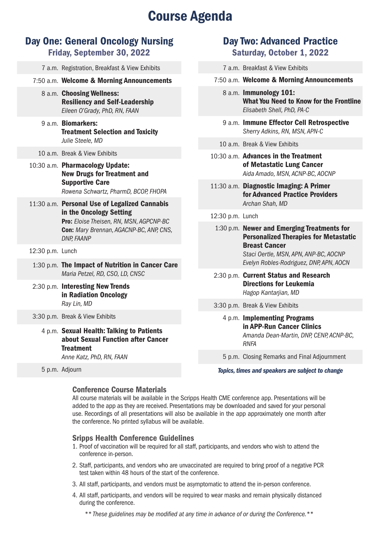## **Course Agenda**

## Day One: General Oncology Nursing

Friday, September 30, 2022

|                  | 7 a.m. Registration, Breakfast & View Exhibits                                                                                                                                      |                  | 7 a.m. Breakfast & View Exhibits                                                                     |  |
|------------------|-------------------------------------------------------------------------------------------------------------------------------------------------------------------------------------|------------------|------------------------------------------------------------------------------------------------------|--|
|                  | 7:50 a.m. Welcome & Morning Announcements                                                                                                                                           |                  | 7:50 a.m. Welcome & Morning Announcements                                                            |  |
|                  | 8 a.m. Choosing Wellness:<br><b>Resiliency and Self-Leadership</b><br>Eileen O'Grady, PhD, RN, FAAN                                                                                 |                  | 8 a.m. Immunology 101:<br><b>What You Need to Know for the Frontli</b><br>Elisabeth Shell, PhD, PA-C |  |
|                  | 9 a.m. Biomarkers:<br><b>Treatment Selection and Toxicity</b>                                                                                                                       |                  | 9 a.m. Immune Effector Cell Retrospective<br>Sherry Adkins, RN, MSN, APN-C                           |  |
|                  | Julie Steele, MD                                                                                                                                                                    |                  | 10 a.m. Break & View Exhibits                                                                        |  |
|                  | 10 a.m. Break & View Exhibits<br>10:30 a.m. Pharmacology Update:<br><b>New Drugs for Treatment and</b>                                                                              |                  | 10:30 a.m. Advances in the Treatment<br>of Metastatic Lung Cancer<br>Aida Amado, MSN, ACNP-BC, AOCNP |  |
|                  | <b>Supportive Care</b><br>Rowena Schwartz, PharmD, BCOP, FHOPA                                                                                                                      |                  | 11:30 a.m. Diagnostic Imaging: A Primer<br>for Advanced Practice Providers                           |  |
|                  | 11:30 a.m. Personal Use of Legalized Cannabis<br>in the Oncology Setting<br>Pro: Eloise Theisen, RN, MSN, AGPCNP-BC<br>Con: Mary Brennan, AGACNP-BC, ANP, CNS,<br><b>DNP, FAANP</b> |                  | Archan Shah, MD                                                                                      |  |
|                  |                                                                                                                                                                                     | 12:30 p.m. Lunch |                                                                                                      |  |
|                  |                                                                                                                                                                                     |                  | 1:30 p.m. Newer and Emerging Treatments for<br><b>Personalized Therapies for Metastati</b>           |  |
| 12:30 p.m. Lunch |                                                                                                                                                                                     |                  | <b>Breast Cancer</b><br>Staci Oertle, MSN, APN, ANP-BC, AOCNP                                        |  |
|                  | 1:30 p.m. The Impact of Nutrition in Cancer Care                                                                                                                                    |                  | Evelyn Robles-Rodriguez, DNP, APN, AOCN                                                              |  |
|                  | Maria Petzel, RD, CSO, LD, CNSC                                                                                                                                                     |                  | 2:30 p.m. Current Status and Research                                                                |  |
|                  | 2:30 p.m. Interesting New Trends<br>in Radiation Oncology<br>Ray Lin, MD                                                                                                            |                  | <b>Directions for Leukemia</b><br>Hagop Kantarjian, MD                                               |  |
|                  |                                                                                                                                                                                     |                  | 3:30 p.m. Break & View Exhibits                                                                      |  |
|                  | 3:30 p.m. Break & View Exhibits                                                                                                                                                     |                  | 4 p.m. Implementing Programs                                                                         |  |
|                  | 4 p.m. Sexual Health: Talking to Patients<br>about Sexual Function after Cancer<br><b>Treatment</b>                                                                                 |                  | in APP-Run Cancer Clinics<br>Amanda Dean-Martin, DNP, CENP, ACNP-BC<br><b>RNFA</b>                   |  |
|                  | Anne Katz, PhD, RN, FAAN                                                                                                                                                            |                  | 5 p.m. Closing Remarks and Final Adjournment                                                         |  |
|                  | 5 p.m. Adjourn                                                                                                                                                                      |                  | Tonics, times and speakers are subject to change                                                     |  |

Day Two: Advanced Practice Saturday, October 1, 2022

What You Need to Know for the Frontline

#### 2:30 p.m. Lunch

*Topics, times and speakers are subject to change*

#### Conference Course Materials

All course materials will be available in the Scripps Health CME conference app. Presentations will be added to the app as they are received. Presentations may be downloaded and saved for your personal use. Recordings of all presentations will also be available in the app approximately one month after the conference. No printed syllabus will be available.

#### Sripps Health Conference Guidelines

- 1. Proof of vaccination will be required for all staff, participants, and vendors who wish to attend the conference in-person.
- 2. Staff, participants, and vendors who are unvaccinated are required to bring proof of a negative PCR test taken within 48 hours of the start of the conference.
- 3. All staff, participants, and vendors must be asymptomatic to attend the in-person conference.
- 4. All staff, participants, and vendors will be required to wear masks and remain physically distanced during the conference.

*\*\* These guidelines may be modified at any time in advance of or during the Conference.\*\**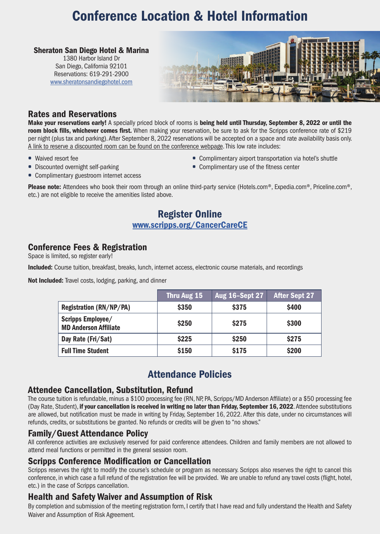## Conference Location & Hotel Information

#### Sheraton San Diego Hotel & Marina

1380 Harbor Island Dr San Diego, California 92101 Reservations: 619-291-2900 <www.sheratonsandiegohotel.com>



### Rates and Reservations

• Discounted overnight self-parking

Make your reservations early! A specially priced block of rooms is being held until Thursday, September 8, 2022 or until the room block fills, whichever comes first. When making your reservation, be sure to ask for the Scripps conference rate of \$219 per night (plus tax and parking). After September 8, 2022 reservations will be accepted on a space and rate availability basis only. A link to reserve a discounted room can be found on the conference webpage. This low rate includes:

• Waived resort fee

- Complimentary airport transportation via hotel's shuttle
- Complimentary use of the fitness center
- Complimentary guestroom internet access

Please note: Attendees who book their room through an online third-party service (Hotels.com®, Expedia.com®, Priceline.com®, etc.) are not eligible to receive the amenities listed above.

### Register Online [www.scripps.org/CancerCare](www.scripps.org/cancercarece)CE

### Conference Fees & Registration

Space is limited, so register early!

Included: Course tuition, breakfast, breaks, lunch, internet access, electronic course materials, and recordings

Not Included: Travel costs, lodging, parking, and dinner

|                                                   | Thru Aug 15  | <b>Aug 16-Sept 27</b> | <b>After Sept 27</b> |
|---------------------------------------------------|--------------|-----------------------|----------------------|
| Registration (RN/NP/PA)                           | \$350        | <b>\$375</b>          | <b>\$400</b>         |
| Scripps Employee/<br><b>MD Anderson Affiliate</b> | <b>\$250</b> | <b>S275</b>           | \$300                |
| Day Rate (Fri/Sat)                                | \$225        | \$250                 | <b>\$275</b>         |
| <b>Full Time Student</b>                          | \$150        | \$175                 | \$200                |

## Attendance Policies

#### Attendee Cancellation, Substitution, Refund

The course tuition is refundable, minus a \$100 processing fee (RN, NP, PA, Scripps/MD Anderson Affiliate) or a \$50 processing fee (Day Rate, Student), if your cancellation is received in writing no later than Friday, September 16, 2022. Attendee substitutions are allowed, but notification must be made in writing by Friday, September 16, 2022. After this date, under no circumstances will refunds, credits, or substitutions be granted. No refunds or credits will be given to "no shows."

#### Family/Guest Attendance Policy

All conference activities are exclusively reserved for paid conference attendees. Children and family members are not allowed to attend meal functions or permitted in the general session room.

### Scripps Conference Modification or Cancellation

Scripps reserves the right to modify the course's schedule or program as necessary. Scripps also reserves the right to cancel this conference, in which case a full refund of the registration fee will be provided. We are unable to refund any travel costs (flight, hotel, etc.) in the case of Scripps cancellation.

## Health and Safety Waiver and Assumption of Risk

By completion and submission of the meeting registration form, I certify that I have read and fully understand the Health and Safety Waiver and Assumption of Risk Agreement.